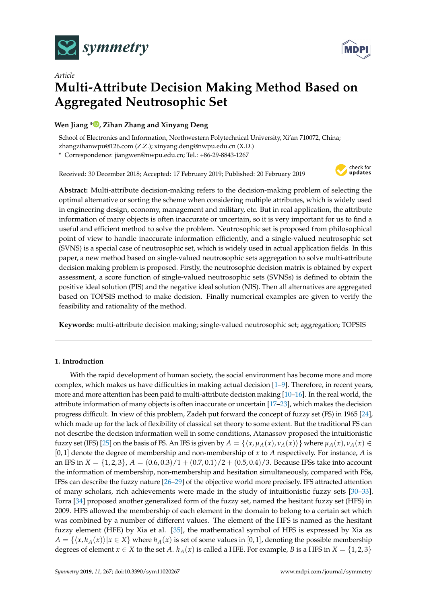



# *Article* **Multi-Attribute Decision Making Method Based on Aggregated Neutrosophic Set**

# **Wen Jiang \* [,](https://orcid.org/0000-0001-5429-2748) Zihan Zhang and Xinyang Deng**

School of Electronics and Information, Northwestern Polytechnical University, Xi'an 710072, China; zhangzihanwpu@126.com (Z.Z.); xinyang.deng@nwpu.edu.cn (X.D.)

**\*** Correspondence: jiangwen@nwpu.edu.cn; Tel.: +86-29-8843-1267

Received: 30 December 2018; Accepted: 17 February 2019; Published: 20 February 2019



**Abstract:** Multi-attribute decision-making refers to the decision-making problem of selecting the optimal alternative or sorting the scheme when considering multiple attributes, which is widely used in engineering design, economy, management and military, etc. But in real application, the attribute information of many objects is often inaccurate or uncertain, so it is very important for us to find a useful and efficient method to solve the problem. Neutrosophic set is proposed from philosophical point of view to handle inaccurate information efficiently, and a single-valued neutrosophic set (SVNS) is a special case of neutrosophic set, which is widely used in actual application fields. In this paper, a new method based on single-valued neutrosophic sets aggregation to solve multi-attribute decision making problem is proposed. Firstly, the neutrosophic decision matrix is obtained by expert assessment, a score function of single-valued neutrosophic sets (SVNSs) is defined to obtain the positive ideal solution (PIS) and the negative ideal solution (NIS). Then all alternatives are aggregated based on TOPSIS method to make decision. Finally numerical examples are given to verify the feasibility and rationality of the method.

**Keywords:** multi-attribute decision making; single-valued neutrosophic set; aggregation; TOPSIS

# **1. Introduction**

With the rapid development of human society, the social environment has become more and more complex, which makes us have difficulties in making actual decision [\[1–](#page-10-0)[9\]](#page-10-1). Therefore, in recent years, more and more attention has been paid to multi-attribute decision making [\[10–](#page-10-2)[16\]](#page-10-3). In the real world, the attribute information of many objects is often inaccurate or uncertain [\[17–](#page-10-4)[23\]](#page-10-5), which makes the decision progress difficult. In view of this problem, Zadeh put forward the concept of fuzzy set (FS) in 1965 [\[24\]](#page-10-6), which made up for the lack of flexibility of classical set theory to some extent. But the traditional FS can not describe the decision information well in some conditions, Atanassov proposed the intuitionistic fuzzy set (IFS) [\[25\]](#page-11-0) on the basis of FS. An IFS is given by  $A = \{\langle x, \mu_A(x), \nu_A(x) \rangle\}$  where  $\mu_A(x), \nu_A(x) \in$ [0, 1] denote the degree of membership and non-membership of *x* to *A* respectively. For instance, *A* is an IFS in  $X = \{1, 2, 3\}, A = (0.6, 0.3)/1 + (0.7, 0.1)/2 + (0.5, 0.4)/3$ . Because IFSs take into account the information of membership, non-membership and hesitation simultaneously, compared with FSs, IFSs can describe the fuzzy nature [\[26–](#page-11-1)[29\]](#page-11-2) of the objective world more precisely. IFS attracted attention of many scholars, rich achievements were made in the study of intuitionistic fuzzy sets [\[30–](#page-11-3)[33\]](#page-11-4). Torra [\[34\]](#page-11-5) proposed another generalized form of the fuzzy set, named the hesitant fuzzy set (HFS) in 2009. HFS allowed the membership of each element in the domain to belong to a certain set which was combined by a number of different values. The element of the HFS is named as the hesitant fuzzy element (HFE) by Xia et al. [\[35\]](#page-11-6), the mathematical symbol of HFS is expressed by Xia as  $A = \{ \langle x, h_A(x) \rangle | x \in X \}$  where  $h_A(x)$  is set of some values in [0, 1], denoting the possible membership degrees of element  $x \in X$  to the set *A*.  $h_A(x)$  is called a HFE. For example, *B* is a HFS in  $X = \{1, 2, 3\}$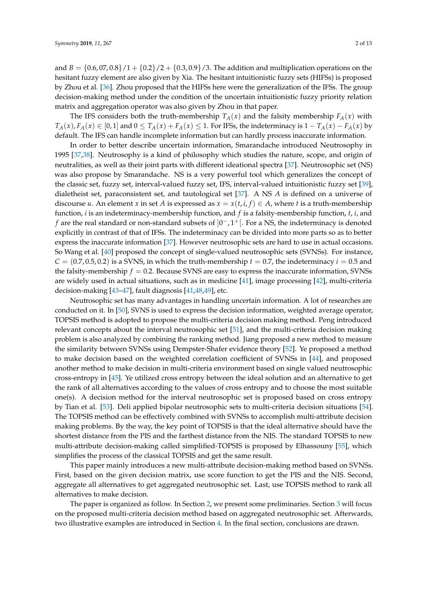and  $B = \{0.6, 07, 0.8\}/1 + \{0.2\}/2 + \{0.3, 0.9\}/3$ . The addition and multiplication operations on the hesitant fuzzy element are also given by Xia. The hesitant intuitionistic fuzzy sets (HIFSs) is proposed by Zhou et al. [\[36\]](#page-11-7). Zhou proposed that the HIFSs here were the generalization of the IFSs. The group decision-making method under the condition of the uncertain intuitionistic fuzzy priority relation matrix and aggregation operator was also given by Zhou in that paper.

The IFS considers both the truth-membership  $T_A(x)$  and the falsity membership  $F_A(x)$  with  $T_A(x)$ ,  $F_A(x) \in [0,1]$  and  $0 \le T_A(x) + F_A(x) \le 1$ . For IFSs, the indeterminacy is  $1 - T_A(x) - F_A(x)$  by default. The IFS can handle incomplete information but can hardly process inaccurate information.

In order to better describe uncertain information, Smarandache introduced Neutrosophy in 1995 [\[37,](#page-11-8)[38\]](#page-11-9). Neutrosophy is a kind of philosophy which studies the nature, scope, and origin of neutralities, as well as their joint parts with different ideational spectra [\[37\]](#page-11-8). Neutrosophic set (NS) was also propose by Smarandache. NS is a very powerful tool which generalizes the concept of the classic set, fuzzy set, interval-valued fuzzy set, IFS, interval-valued intuitionistic fuzzy set [\[39\]](#page-11-10), dialetheist set, paraconsistent set, and tautological set [\[37\]](#page-11-8). A NS *A* is defined on a universe of discourse *u*. An element *x* in set *A* is expressed as  $x = x(t, i, f) \in A$ , where *t* is a truth-membership function, *i* is an indeterminacy-membership function, and *f* is a falsity-membership function, *t*, *i*, and *f* are the real standard or non-standard subsets of  $]0^-,1^+[$ . For a NS, the indeterminacy is denoted explicitly in contrast of that of IFSs. The indeterminacy can be divided into more parts so as to better express the inaccurate information [\[37\]](#page-11-8). However neutrosophic sets are hard to use in actual occasions. So Wang et al. [\[40\]](#page-11-11) proposed the concept of single-valued neutrosophic sets (SVNSs). For instance,  $C = (0.7, 0.5, 0.2)$  is a SVNS, in which the truth-membership  $t = 0.7$ , the indeterminacy  $i = 0.5$  and the falsity-membership  $f = 0.2$ . Because SVNS are easy to express the inaccurate information, SVNSs are widely used in actual situations, such as in medicine [\[41\]](#page-11-12), image processing [\[42\]](#page-11-13), multi-criteria decision-making [\[43–](#page-11-14)[47\]](#page-11-15), fault diagnosis [\[41](#page-11-12)[,48,](#page-11-16)[49\]](#page-11-17), etc.

Neutrosophic set has many advantages in handling uncertain information. A lot of researches are conducted on it. In [\[50\]](#page-11-18), SVNS is used to express the decision information, weighted average operator, TOPSIS method is adopted to propose the multi-criteria decision making method. Peng introduced relevant concepts about the interval neutrosophic set [\[51\]](#page-11-19), and the multi-criteria decision making problem is also analyzed by combining the ranking method. Jiang proposed a new method to measure the similarity between SVNSs using Dempster-Shafer evidence theory [\[52\]](#page-12-0). Ye proposed a method to make decision based on the weighted correlation coefficient of SVNSs in [\[44\]](#page-11-20), and proposed another method to make decision in multi-criteria environment based on single valued neutrosophic cross-entropy in [\[45\]](#page-11-21). Ye utilized cross entropy between the ideal solution and an alternative to get the rank of all alternatives according to the values of cross entropy and to choose the most suitable one(s). A decision method for the interval neutrosophic set is proposed based on cross entropy by Tian et al. [\[53\]](#page-12-1). Deli applied bipolar neutrosophic sets to multi-criteria decision situations [\[54\]](#page-12-2). The TOPSIS method can be effectively combined with SVNSs to accomplish multi-attribute decision making problems. By the way, the key point of TOPSIS is that the ideal alternative should have the shortest distance from the PIS and the farthest distance from the NIS. The standard TOPSIS to new multi-attribute decision-making called simplified-TOPSIS is proposed by Elhassouny [\[55\]](#page-12-3), which simplifies the process of the classical TOPSIS and get the same result.

This paper mainly introduces a new multi-attribute decision-making method based on SVNSs. First, based on the given decision matrix, use score function to get the PIS and the NIS. Second, aggregate all alternatives to get aggregated neutrosophic set. Last, use TOPSIS method to rank all alternatives to make decision.

The paper is organized as follow. In Section [2,](#page-2-0) we present some preliminaries. Section [3](#page-4-0) will focus on the proposed multi-criteria decision method based on aggregated neutrosophic set. Afterwards, two illustrative examples are introduced in Section [4.](#page-5-0) In the final section, conclusions are drawn.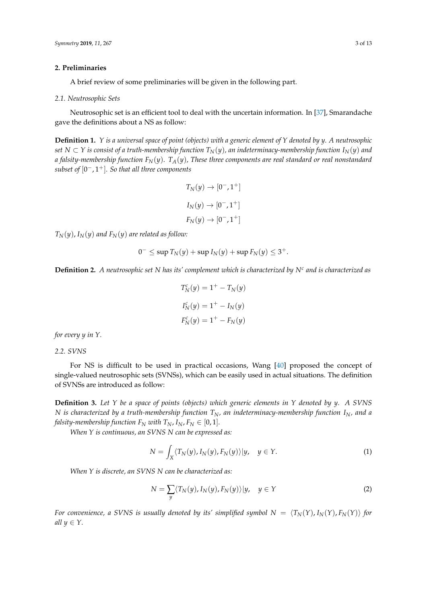#### <span id="page-2-0"></span>**2. Preliminaries**

A brief review of some preliminaries will be given in the following part.

#### *2.1. Neutrosophic Sets*

Neutrosophic set is an efficient tool to deal with the uncertain information. In [\[37\]](#page-11-8), Smarandache gave the definitions about a NS as follow:

**Definition 1.** *Y is a universal space of point (objects) with a generic element of Y denoted by y. A neutrosophic set N* ⊂ *Y is consist of a truth-membership function*  $T_N(y)$ *, an indeterminacy-membership function*  $I_N(y)$  *and a falsity-membership function*  $F_N(y)$ .  $T_A(y)$ , These three components are real standard or real nonstandard *subset of* [0 <sup>−</sup>, 1+]*. So that all three components*

$$
T_N(y) \rightarrow [0^-, 1^+]
$$
  

$$
I_N(y) \rightarrow [0^-, 1^+]
$$
  

$$
F_N(y) \rightarrow [0^-, 1^+]
$$

 $T_N(y)$ ,  $I_N(y)$  and  $F_N(y)$  are related as follow:

$$
0^{-} \leq \sup T_N(y) + \sup I_N(y) + \sup F_N(y) \leq 3^+.
$$

**Definition 2.** *A neutrosophic set N has its' complement which is characterized by N<sup>c</sup> and is characterized as*

$$
T_N^c(y) = 1^+ - T_N(y)
$$
  
\n
$$
I_N^c(y) = 1^+ - I_N(y)
$$
  
\n
$$
F_N^c(y) = 1^+ - F_N(y)
$$

*for every y in Y.*

*2.2. SVNS*

For NS is difficult to be used in practical occasions, Wang [\[40\]](#page-11-11) proposed the concept of single-valued neutrosophic sets (SVNSs), which can be easily used in actual situations. The definition of SVNSs are introduced as follow:

**Definition 3.** *Let Y be a space of points (objects) which generic elements in Y denoted by y. A SVNS N is characterized by a truth-membership function TN, an indeterminacy-membership function IN, and a falsity-membership function*  $F_N$  *with*  $T_N$ ,  $I_N$ ,  $F_N \in [0, 1]$ *.* 

*When Y is continuous, an SVNS N can be expressed as:*

$$
N = \int_X \langle T_N(y), I_N(y), F_N(y) \rangle | y, \quad y \in Y.
$$
 (1)

*When Y is discrete, an SVNS N can be characterized as:*

$$
N = \sum_{y} \langle T_N(y), I_N(y), F_N(y) \rangle | y, \quad y \in Y
$$
\n(2)

*For convenience, a SVNS is usually denoted by its' simplified symbol*  $N = \langle T_N(Y), I_N(Y), F_N(Y) \rangle$  *for all*  $y \in Y$ .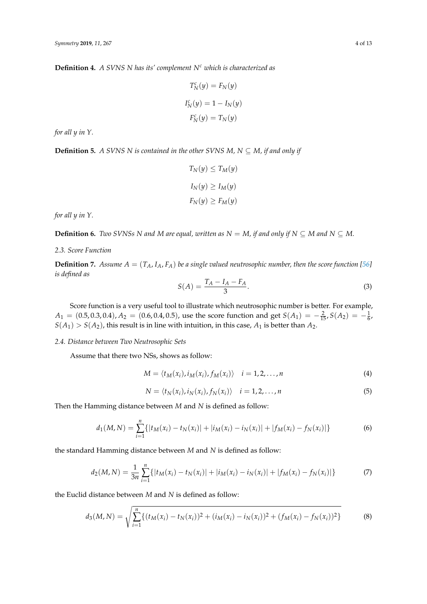**Definition 4.** *A SVNS N has its' complement N<sup>c</sup> which is characterized as*

$$
T_N^c(y) = F_N(y)
$$
  

$$
I_N^c(y) = 1 - I_N(y)
$$
  

$$
F_N^c(y) = T_N(y)
$$

*for all y in Y.*

**Definition 5.** *A SVNS N is contained in the other SVNS M, N*  $\subseteq$  *M, if and only if* 

$$
T_N(y) \le T_M(y)
$$
  

$$
I_N(y) \ge I_M(y)
$$
  

$$
F_N(y) \ge F_M(y)
$$

*for all y in Y.*

**Definition 6.** *Two SVNSs N and M are equal, written as N* = *M, if and only if*  $N \subseteq M$  *and*  $N \subseteq M$ .

### *2.3. Score Function*

**Definition 7.** Assume  $A = (T_A, I_A, F_A)$  be a single valued neutrosophic number, then the score function [\[56\]](#page-12-4) *is defined as*

<span id="page-3-0"></span>
$$
S(A) = \frac{T_A - I_A - F_A}{3}.\tag{3}
$$

Score function is a very useful tool to illustrate which neutrosophic number is better. For example,  $A_1 = (0.5, 0.3, 0.4), A_2 = (0.6, 0.4, 0.5)$ , use the score function and get  $S(A_1) = -\frac{2}{15}$ ,  $S(A_2) = -\frac{1}{6}$ ,  $S(A_1) > S(A_2)$ , this result is in line with intuition, in this case,  $A_1$  is better than  $A_2$ .

### *2.4. Distance between Two Neutrosophic Sets*

Assume that there two NSs, shows as follow:

$$
M = \langle t_M(x_i), i_M(x_i), f_M(x_i) \rangle \quad i = 1, 2, \dots, n \tag{4}
$$

$$
N = \langle t_N(x_i), i_N(x_i), f_N(x_i) \rangle \quad i = 1, 2, \dots, n
$$
 (5)

Then the Hamming distance between *M* and *N* is defined as follow:

$$
d_1(M, N) = \sum_{i=1}^{n} \{ |t_M(x_i) - t_N(x_i)| + |i_M(x_i) - i_N(x_i)| + |f_M(x_i) - f_N(x_i)| \}
$$
(6)

the standard Hamming distance between *M* and *N* is defined as follow:

$$
d_2(M, N) = \frac{1}{3n} \sum_{i=1}^n \{ |t_M(x_i) - t_N(x_i)| + |i_M(x_i) - i_N(x_i)| + |f_M(x_i) - f_N(x_i)| \}
$$
(7)

the Euclid distance between *M* and *N* is defined as follow:

<span id="page-3-1"></span>
$$
d_3(M,N) = \sqrt{\sum_{i=1}^n \{ (t_M(x_i) - t_N(x_i))^2 + (i_M(x_i) - i_N(x_i))^2 + (f_M(x_i) - f_N(x_i))^2 \}}
$$
(8)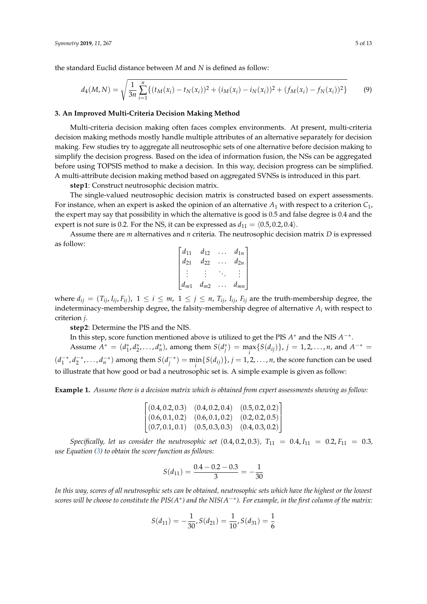the standard Euclid distance between *M* and *N* is defined as follow:

$$
d_4(M,N) = \sqrt{\frac{1}{3n} \sum_{i=1}^n \left\{ (t_M(x_i) - t_N(x_i))^2 + (i_M(x_i) - i_N(x_i))^2 + (f_M(x_i) - f_N(x_i))^2 \right\}}
$$
(9)

#### <span id="page-4-0"></span>**3. An Improved Multi-Criteria Decision Making Method**

Multi-criteria decision making often faces complex environments. At present, multi-criteria decision making methods mostly handle multiple attributes of an alternative separately for decision making. Few studies try to aggregate all neutrosophic sets of one alternative before decision making to simplify the decision progress. Based on the idea of information fusion, the NSs can be aggregated before using TOPSIS method to make a decision. In this way, decision progress can be simplified. A multi-attribute decision making method based on aggregated SVNSs is introduced in this part.

**step1**: Construct neutrosophic decision matrix.

The single-valued neutrosophic decision matrix is constructed based on expert assessments. For instance, when an expert is asked the opinion of an alternative *A*<sup>1</sup> with respect to a criterion *C*1, the expert may say that possibility in which the alternative is good is 0.5 and false degree is 0.4 and the expert is not sure is 0.2. For the NS, it can be expressed as  $d_{11} = \langle 0.5, 0.2, 0.4 \rangle$ .

Assume there are *m* alternatives and *n* criteria. The neutrosophic decision matrix *D* is expressed as follow:

$$
\begin{bmatrix} d_{11} & d_{12} & \cdots & d_{1n} \\ d_{21} & d_{22} & \cdots & d_{2n} \\ \vdots & \vdots & \ddots & \vdots \\ d_{m1} & d_{m2} & \cdots & d_{mn} \end{bmatrix}
$$

where  $d_{ij} = (T_{ij}, I_{ij}, F_{ij})$ ,  $1 \le i \le m$ ,  $1 \le j \le n$ ,  $T_{ij}$ ,  $I_{ij}$ ,  $F_{ij}$  are the truth-membership degree, the indeterminacy-membership degree, the falsity-membership degree of alternative *A<sup>i</sup>* with respect to criterion *j*.

**step2**: Determine the PIS and the NIS.

In this step, score function mentioned above is utilized to get the PIS *A* <sup>∗</sup> and the NIS *A* −∗ . Assume  $A^* = (d_1^*, d_2^*, \dots, d_n^*)$ , among them  $S(d_j^*) = \max_i \{S(d_{ij})\}$ ,  $j = 1, 2, \dots, n$ , and  $A^{-*} =$  $(d_1^{-*})$  $\frac{1}{1}^*$ , *d*<sub>2</sub><sup>-\*</sup>, ..., *d*<sub>*n*</sub><sup>+</sup>) among them  $S(d_i^{-*})$  $j^{(m)}_{j} = \min_{i} \{ S(d_{ij}) \}$ ,  $j = 1, 2, ..., n$ , the score function can be used to illustrate that how good or bad a neutrosophic set is. A simple example is given as follow:

**Example 1.** *Assume there is a decision matrix which is obtained from expert assessments showing as follow:*

| $\left[ (0.4, 0.2, 0.3) \right] (0.4, 0.2, 0.4) \left[ (0.5, 0.2, 0.2) \right]$ |  |
|---------------------------------------------------------------------------------|--|
| $\left[ (0.6, 0.1, 0.2) \right] (0.6, 0.1, 0.2) (0.2, 0.2, 0.5)$                |  |
| $\left[ (0.7, 0.1, 0.1) \quad (0.5, 0.3, 0.3) \quad (0.4, 0.3, 0.2) \right]$    |  |

*Specifically, let us consider the neutrosophic set* (0.4, 0.2, 0.3),  $T_{11} = 0.4$ ,  $I_{11} = 0.2$ ,  $F_{11} = 0.3$ , *use Equation [\(3\)](#page-3-0) to obtain the score function as follows:*

$$
S(d_{11}) = \frac{0.4 - 0.2 - 0.3}{3} = -\frac{1}{30}
$$

*In this way, scores of all neutrosophic sets can be obtained, neutrosophic sets which have the highest or the lowest scores will be choose to constitute the PIS(A\*) and the NIS(A<sup>-\*</sup>). For example, in the first column of the matrix:* 

$$
S(d_{11}) = -\frac{1}{30}, S(d_{21}) = \frac{1}{10}, S(d_{31}) = \frac{1}{6}
$$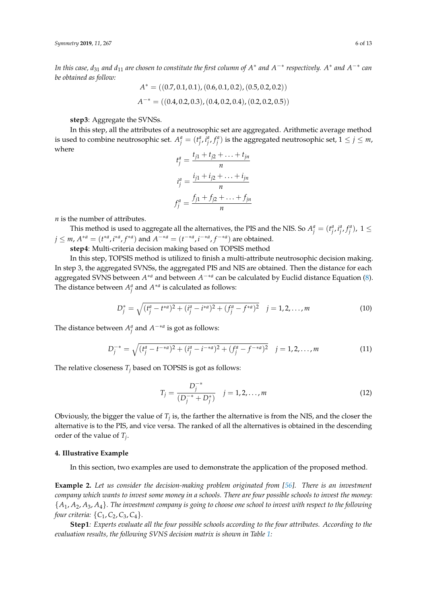*In this case, d*<sub>31</sub> and d<sub>11</sub> are chosen to constitute the first column of  $A^*$  and  $A^{-*}$  respectively.  $A^*$  and  $A^{-*}$  can *be obtained as follow:*

$$
A^* = ((0.7, 0.1, 0.1), (0.6, 0.1, 0.2), (0.5, 0.2, 0.2))
$$
  

$$
A^{-*} = ((0.4, 0.2, 0.3), (0.4, 0.2, 0.4), (0.2, 0.2, 0.5))
$$

**step3**: Aggregate the SVNSs.

In this step, all the attributes of a neutrosophic set are aggregated. Arithmetic average method is used to combine neutrosophic set.  $A_j^a = (t_j^a, i_j^a, f_j^a)$  is the aggregated neutrosophic set,  $1 \le j \le m$ , where

$$
t_j^a = \frac{t_{j1} + t_{j2} + \dots + t_{jn}}{n}
$$

$$
t_j^a = \frac{i_{j1} + i_{j2} + \dots + i_{jn}}{n}
$$

$$
f_j^a = \frac{f_{j1} + f_{j2} + \dots + f_{jn}}{n}
$$

*n* is the number of attributes.

This method is used to aggregate all the alternatives, the PIS and the NIS. So  $A_j^a = (t_j^a, i_j^a, f_j^a)$ ,  $1 \leq j$ *j* ≤ *m*,  $A^{*a} = (t^{*a}, t^{*a}, f^{*a})$  and  $A^{-*a} = (t^{-*a}, t^{-*a}, f^{-*a})$  are obtained.

**step4**: Multi-criteria decision making based on TOPSIS method

In this step, TOPSIS method is utilized to finish a multi-attribute neutrosophic decision making. In step 3, the aggregated SVNSs, the aggregated PIS and NIS are obtained. Then the distance for each aggregated SVNS between *A* <sup>∗</sup>*<sup>a</sup>* and between *A* −∗*a* can be calculated by Euclid distance Equation [\(8\)](#page-3-1). The distance between  $A_j^a$  and  $A^{*a}$  is calculated as follows:

$$
D_j^* = \sqrt{(t_j^a - t^{*a})^2 + (i_j^a - i^{*a})^2 + (f_j^a - f^{*a})^2} \quad j = 1, 2, ..., m
$$
 (10)

The distance between  $A_j^a$  and  $A^{-*a}$  is got as follows:

$$
D_j^{-*} = \sqrt{(t_j^a - t^{-*a})^2 + (i_j^a - t^{-*a})^2 + (f_j^a - t^{-*a})^2} \quad j = 1, 2, ..., m
$$
 (11)

The relative closeness  $T_j$  based on TOPSIS is got as follows:

$$
T_j = \frac{D_j^{-*}}{(D_j^{-*} + D_j^*)} \quad j = 1, 2, ..., m
$$
 (12)

Obviously, the bigger the value of  $T_j$  is, the farther the alternative is from the NIS, and the closer the alternative is to the PIS, and vice versa. The ranked of all the alternatives is obtained in the descending order of the value of *T<sup>j</sup>* .

#### <span id="page-5-0"></span>**4. Illustrative Example**

In this section, two examples are used to demonstrate the application of the proposed method.

**Example 2.** *Let us consider the decision-making problem originated from [\[56\]](#page-12-4). There is an investment company which wants to invest some money in a schools. There are four possible schools to invest the money:* {*A*1, *A*2, *A*3, *A*4}*. The investment company is going to choose one school to invest with respect to the following four criteria:* {*C*1, *C*2, *C*3, *C*4}*.*

**Step1***: Experts evaluate all the four possible schools according to the four attributes. According to the evaluation results, the following SVNS decision matrix is shown in Table [1:](#page-6-0)*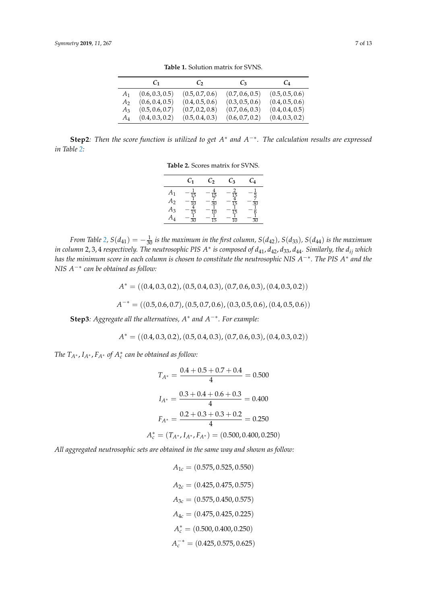<span id="page-6-0"></span>

|                | $C_{1}$         | $C_2$           | $C_3$           | $C_4$           |
|----------------|-----------------|-----------------|-----------------|-----------------|
| A <sub>1</sub> | (0.6, 0.3, 0.5) | (0.5, 0.7, 0.6) | (0.7, 0.6, 0.5) | (0.5, 0.5, 0.6) |
| A <sub>2</sub> | (0.6, 0.4, 0.5) | (0.4, 0.5, 0.6) | (0.3, 0.5, 0.6) | (0.4, 0.5, 0.6) |
| $A_3$          | (0.5, 0.6, 0.7) | (0.7, 0.2, 0.8) | (0.7, 0.6, 0.3) | (0.4, 0.4, 0.5) |
| $A_4$          | (0.4, 0.3, 0.2) | (0.5, 0.4, 0.3) | (0.6, 0.7, 0.2) | (0.4, 0.3, 0.2) |

**Table 1.** Solution matrix for SVNS.

<span id="page-6-1"></span>**Step2***:* Then the score function is utilized to get A<sup>\*</sup> and A<sup>-\*</sup>*.* The calculation results are expressed *in Table [2:](#page-6-1)*

**Table 2.** Scores matrix for SVNS.

|                            | $\scriptstyle{C_1}$                                    | $\scriptstyle{C_2}$  | $\mathcal{C}_3$                                             | $\mathcal{C}_{4}$ |
|----------------------------|--------------------------------------------------------|----------------------|-------------------------------------------------------------|-------------------|
| A1<br>$A_2$<br>$A_3$<br>A4 | $\overline{15}$<br>$\overline{10}$<br>$\vec{15}$<br>30 | 15<br>30<br>ĪŌ<br>15 | $\overline{15}$<br>$\overline{15}$<br>15<br>$\overline{10}$ | 30<br>30          |

*From Table [2,](#page-6-1)*  $S(d_{41}) = -\frac{1}{30}$  *is the maximum in the first column,*  $S(d_{42})$ *,*  $S(d_{33})$ *,*  $S(d_{44})$  *is the maximum in column* 2, 3, 4 *respectively. The neutrosophic PIS A* ∗ *is composed of d*41, *d*42, *d*33, *d*44*. Similarly, the dij which has the minimum score in each column is chosen to constitute the neutrosophic NIS A* −∗*. The PIS A* ∗ *and the NIS A*−∗ *can be obtained as follow:*

$$
A^* = ((0.4, 0.3, 0.2), (0.5, 0.4, 0.3), (0.7, 0.6, 0.3), (0.4, 0.3, 0.2))
$$
  

$$
A^{-*} = ((0.5, 0.6, 0.7), (0.5, 0.7, 0.6), (0.3, 0.5, 0.6), (0.4, 0.5, 0.6))
$$

**Step3***: Aggregate all the alternatives, A*<sup>∗</sup> *and A*−∗*. For example:*

$$
A^* = ((0.4, 0.3, 0.2), (0.5, 0.4, 0.3), (0.7, 0.6, 0.3), (0.4, 0.3, 0.2))
$$

*The*  $T_{A^*}$ ,  $I_{A^*}$ ,  $F_{A^*}$  of  $A_c^*$  can be obtained as follow:

$$
T_{A^*} = \frac{0.4 + 0.5 + 0.7 + 0.4}{4} = 0.500
$$

$$
I_{A^*} = \frac{0.3 + 0.4 + 0.6 + 0.3}{4} = 0.400
$$

$$
F_{A^*} = \frac{0.2 + 0.3 + 0.3 + 0.2}{4} = 0.250
$$

$$
A_c^* = (T_{A^*}, I_{A^*}, F_{A^*}) = (0.500, 0.400, 0.250)
$$

*All aggregated neutrosophic sets are obtained in the same way and shown as follow:*

$$
A_{1c} = (0.575, 0.525, 0.550)
$$
  
\n
$$
A_{2c} = (0.425, 0.475, 0.575)
$$
  
\n
$$
A_{3c} = (0.575, 0.450, 0.575)
$$
  
\n
$$
A_{4c} = (0.475, 0.425, 0.225)
$$
  
\n
$$
A_c^* = (0.500, 0.400, 0.250)
$$
  
\n
$$
A_c^{-*} = (0.425, 0.575, 0.625)
$$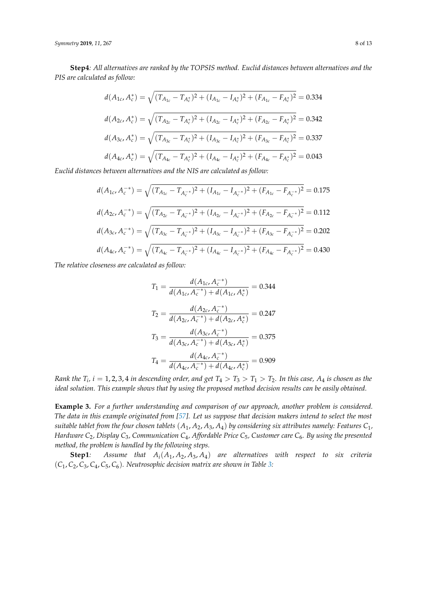*Symmetry* **2019**, *11*, 267 8 of 13

**Step4***: All alternatives are ranked by the TOPSIS method. Euclid distances between alternatives and the PIS are calculated as follow:*

$$
d(A_{1c}, A_c^*) = \sqrt{(T_{A_{1c}} - T_{A_c^*})^2 + (I_{A_{1c}} - I_{A_c^*})^2 + (F_{A_{1c}} - F_{A_c^*})^2} = 0.334
$$
  
\n
$$
d(A_{2c}, A_c^*) = \sqrt{(T_{A_{2c}} - T_{A_c^*})^2 + (I_{A_{2c}} - I_{A_c^*})^2 + (F_{A_{2c}} - F_{A_c^*})^2} = 0.342
$$
  
\n
$$
d(A_{3c}, A_c^*) = \sqrt{(T_{A_{3c}} - T_{A_c^*})^2 + (I_{A_{3c}} - I_{A_c^*})^2 + (F_{A_{3c}} - F_{A_c^*})^2} = 0.337
$$
  
\n
$$
d(A_{4c}, A_c^*) = \sqrt{(T_{A_{4c}} - T_{A_c^*})^2 + (I_{A_{4c}} - I_{A_c^*})^2 + (F_{A_{4c}} - F_{A_c^*})^2} = 0.043
$$
  
\nsubtruncave, and the NIS are calculated as follows:

*Euclid distances between alternatives and the NIS are calculated as follow:*

$$
d(A_{1c}, A_c^{-*}) = \sqrt{(T_{A_{1c}} - T_{A_c^{-*}})^2 + (I_{A_{1c}} - I_{A_c^{-*}})^2 + (F_{A_{1c}} - F_{A_c^{-*}})^2} = 0.175
$$
  

$$
d(A_{2c}, A_c^{-*}) = \sqrt{(T_{A_{2c}} - T_{A_c^{-*}})^2 + (I_{A_{2c}} - I_{A_c^{-*}})^2 + (F_{A_{2c}} - F_{A_c^{-*}})^2} = 0.112
$$
  

$$
d(A_{3c}, A_c^{-*}) = \sqrt{(T_{A_{3c}} - T_{A_c^{-*}})^2 + (I_{A_{3c}} - I_{A_c^{-*}})^2 + (F_{A_{3c}} - F_{A_c^{-*}})^2} = 0.202
$$
  

$$
d(A_{4c}, A_c^{-*}) = \sqrt{(T_{A_{4c}} - T_{A_c^{-*}})^2 + (I_{A_{4c}} - I_{A_c^{-*}})^2 + (F_{A_{4c}} - F_{A_c^{-*}})^2} = 0.430
$$

*The relative closeness are calculated as follow:*

$$
T_1 = \frac{d(A_{1c}, A_c^{-*})}{d(A_{1c}, A_c^{-*}) + d(A_{1c}, A_c^{*})} = 0.344
$$

$$
T_2 = \frac{d(A_{2c}, A_c^{-*})}{d(A_{2c}, A_c^{-*}) + d(A_{2c}, A_c^{*})} = 0.247
$$

$$
T_3 = \frac{d(A_{3c}, A_c^{-*})}{d(A_{3c}, A_c^{-*}) + d(A_{3c}, A_c^{*})} = 0.375
$$

$$
T_4 = \frac{d(A_{4c}, A_c^{-*})}{d(A_{4c}, A_c^{-*}) + d(A_{4c}, A_c^{*})} = 0.909
$$

*Rank the*  $T_i$ *, i*  $= 1,2,3,4$  *in descending order, and get*  $T_4 > T_3 > T_1 > T_2$ *. In this case,*  $A_4$  *is chosen as the ideal solution. This example shows that by using the proposed method decision results can be easily obtained.*

**Example 3.** *For a further understanding and comparison of our approach, another problem is considered. The data in this example originated from [\[57\]](#page-12-5). Let us suppose that decision makers intend to select the most suitable tablet from the four chosen tablets*  $(A_1, A_2, A_3, A_4)$  *by considering six attributes namely: Features*  $C_1$ , *Hardware C*2*, Display C*3*, Communication C*4*, Affordable Price C*5*, Customer care C*6*. By using the presented method, the problem is handled by the following steps.*

**Step1***: Assume that Ai*(*A*1, *A*2, *A*3, *A*4) *are alternatives with respect to six criteria* (*C*1, *C*2, *C*3, *C*4, *C*5, *C*6)*. Neutrosophic decision matrix are shown in Table [3:](#page-8-0)*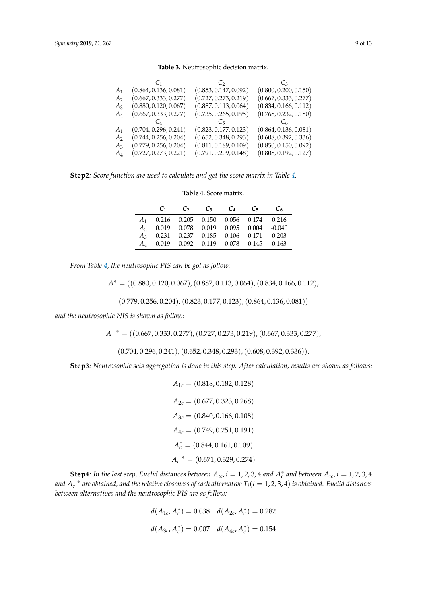<span id="page-8-0"></span>

|                | C1                    | $C_2$                 | $C_3$                 |
|----------------|-----------------------|-----------------------|-----------------------|
| A <sub>1</sub> | (0.864, 0.136, 0.081) | (0.853, 0.147, 0.092) | (0.800, 0.200, 0.150) |
| A <sub>2</sub> | (0.667, 0.333, 0.277) | (0.727, 0.273, 0.219) | (0.667, 0.333, 0.277) |
| $A_3$          | (0.880, 0.120, 0.067) | (0.887, 0.113, 0.064) | (0.834, 0.166, 0.112) |
| A4             | (0.667, 0.333, 0.277) | (0.735, 0.265, 0.195) | (0.768, 0.232, 0.180) |
|                |                       | Ċҕ                    |                       |
| $A_1$          | (0.704, 0.296, 0.241) | (0.823, 0.177, 0.123) | (0.864, 0.136, 0.081) |
| A <sub>2</sub> | (0.744, 0.256, 0.204) | (0.652, 0.348, 0.293) | (0.608, 0.392, 0.336) |
| $A_3$          | (0.779, 0.256, 0.204) | (0.811, 0.189, 0.109) | (0.850, 0.150, 0.092) |
| $A_4$          | (0.727, 0.273, 0.221) | (0.791, 0.209, 0.148) | (0.808, 0.192, 0.127) |

**Table 3.** Neutrosophic decision matrix.

<span id="page-8-1"></span>**Step2***: Score function are used to calculate and get the score matrix in Table [4.](#page-8-1)*

**Table 4.** Score matrix.

|  |  | $C_1$ $C_2$ $C_3$ $C_4$ $C_5$ $C_6$                 |  |
|--|--|-----------------------------------------------------|--|
|  |  | $A_1$ 0.216 0.205 0.150 0.056 0.174 0.216           |  |
|  |  | A <sub>2</sub> 0.019 0.078 0.019 0.095 0.004 -0.040 |  |
|  |  | $A_3$ 0.231 0.237 0.185 0.106 0.171 0.203           |  |
|  |  | A <sub>4</sub> 0.019 0.092 0.119 0.078 0.145 0.163  |  |

*From Table [4,](#page-8-1) the neutrosophic PIS can be got as follow:*

 $A^* = ((0.880, 0.120, 0.067), (0.887, 0.113, 0.064), (0.834, 0.166, 0.112),$ 

 $(0.779, 0.256, 0.204), (0.823, 0.177, 0.123), (0.864, 0.136, 0.081))$ 

*and the neutrosophic NIS is shown as follow:*

*A*<sup>-∗</sup> = ((0.667, 0.333, 0.277), (0.727, 0.273, 0.219), (0.667, 0.333, 0.277),

 $(0.704, 0.296, 0.241), (0.652, 0.348, 0.293), (0.608, 0.392, 0.336)).$ 

**Step3***: Neutrosophic sets aggregation is done in this step. After calculation, results are shown as follows:*

 $A_{1c} = (0.818, 0.182, 0.128)$  $A_{2c} = (0.677, 0.323, 0.268)$  $A_{3c} = (0.840, 0.166, 0.108)$  $A_{4c} = (0.749, 0.251, 0.191)$  $A_c^* = (0.844, 0.161, 0.109)$  $A_c^{-*} = (0.671, 0.329, 0.274)$ 

**Step4**: In the last step, Euclid distances between  $A_{ic}$ ,  $i = 1, 2, 3, 4$  and  $A_c^*$  and between  $A_{ic}$ ,  $i = 1, 2, 3, 4$ and  $A_c^{-*}$  are obtained, and the relative closeness of each alternative  $T_i(i=1,2,3,4)$  is obtained. Euclid distances *between alternatives and the neutrosophic PIS are as follow:*

$$
d(A_{1c}, A_c^*) = 0.038 \quad d(A_{2c}, A_c^*) = 0.282
$$
  

$$
d(A_{3c}, A_c^*) = 0.007 \quad d(A_{4c}, A_c^*) = 0.154
$$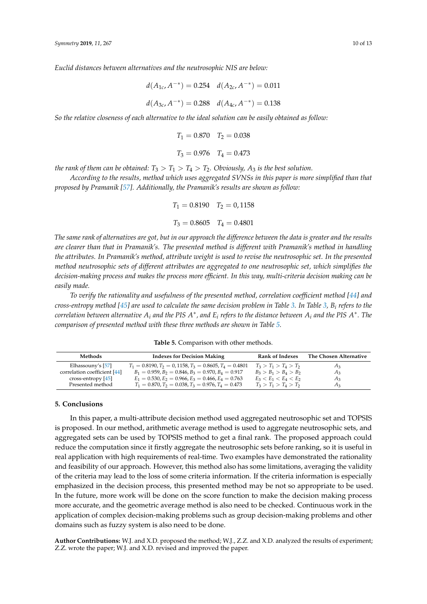*Euclid distances between alternatives and the neutrosophic NIS are below:*

$$
d(A_{1c}, A^{-*}) = 0.254 \quad d(A_{2c}, A^{-*}) = 0.011
$$

$$
d(A_{3c}, A^{-*}) = 0.288 \quad d(A_{4c}, A^{-*}) = 0.138
$$

*So the relative closeness of each alternative to the ideal solution can be easily obtained as follow:*

$$
T_1 = 0.870
$$
  $T_2 = 0.038$   
 $T_3 = 0.976$   $T_4 = 0.473$ 

*the rank of them can be obtained:*  $T_3 > T_1 > T_4 > T_2$ . Obviously,  $A_3$  *is the best solution.* 

*According to the results, method which uses aggregated SVNSs in this paper is more simplified than that proposed by Pramanik [\[57\]](#page-12-5). Additionally, the Pramanik's results are shown as follow:*

$$
T_1 = 0.8190
$$
  $T_2 = 0.1158$   
 $T_3 = 0.8605$   $T_4 = 0.4801$ 

*The same rank of alternatives are got, but in our approach the difference between the data is greater and the results are clearer than that in Pramanik's. The presented method is different with Pramanik's method in handling the attributes. In Pramanik's method, attribute weight is used to revise the neutrosophic set. In the presented method neutrosophic sets of different attributes are aggregated to one neutrosophic set, which simplifies the decision-making process and makes the process more efficient. In this way, multi-criteria decision making can be easily made.*

*To verify the rationality and usefulness of the presented method, correlation coefficient method [\[44\]](#page-11-20) and cross-entropy method [\[45\]](#page-11-21) are used to calculate the same decision problem in Table [3.](#page-8-0) In Table [3,](#page-8-0) B<sup>i</sup> refers to the*  $c$  *correlation between alternative*  $A_i$  *and the PIS*  $A^*$ *, and*  $E_i$  *refers to the distance between*  $A_i$  *and the PIS*  $A^*$ *. The comparison of presented method with these three methods are shown in Table [5.](#page-9-0)*

**Table 5.** Comparison with other methods.

<span id="page-9-0"></span>

| Methods                      | <b>Indexes for Decision Making</b>                            | <b>Rank of Indexes</b>  | The Chosen Alternative |
|------------------------------|---------------------------------------------------------------|-------------------------|------------------------|
| Elhassouny's [57]            | $T_1 = 0.8190, T_2 = 0.1158, T_3 = 0.8605, T_4 = 0.4801$      | $T_3 > T_1 > T_4 > T_2$ | Aз                     |
| correlation coefficient [44] | $B_1 = 0.959$ , $B_2 = 0.846$ , $B_3 = 0.970$ , $B_4 = 0.917$ | $B_3 > B_1 > B_4 > B_2$ | $A_3$                  |
| cross-entropy $[45]$         | $E_1 = 0.530, E_2 = 0.966, E_3 = 0.466, E_4 = 0.763$          | $E_3 < E_1 < E_4 < E_2$ | $A_3$                  |
| Presented method             | $T_1 = 0.870, T_2 = 0.038, T_3 = 0.976, T_4 = 0.473$          | $T_3 > T_1 > T_4 > T_2$ | $A_3$                  |

#### **5. Conclusions**

In this paper, a multi-attribute decision method used aggregated neutrosophic set and TOPSIS is proposed. In our method, arithmetic average method is used to aggregate neutrosophic sets, and aggregated sets can be used by TOPSIS method to get a final rank. The proposed approach could reduce the computation since it firstly aggregate the neutrosophic sets before ranking, so it is useful in real application with high requirements of real-time. Two examples have demonstrated the rationality and feasibility of our approach. However, this method also has some limitations, averaging the validity of the criteria may lead to the loss of some criteria information. If the criteria information is especially emphasized in the decision process, this presented method may be not so appropriate to be used. In the future, more work will be done on the score function to make the decision making process more accurate, and the geometric average method is also need to be checked. Continuous work in the application of complex decision-making problems such as group decision-making problems and other domains such as fuzzy system is also need to be done.

**Author Contributions:** W.J. and X.D. proposed the method; W.J., Z.Z. and X.D. analyzed the results of experiment; Z.Z. wrote the paper; W.J. and X.D. revised and improved the paper.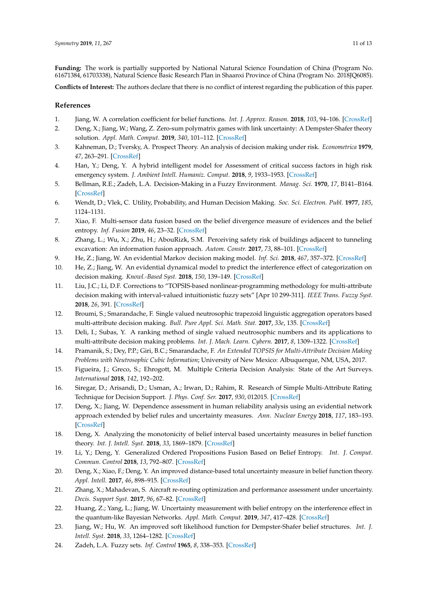**Funding:** The work is partially supported by National Natural Science Foundation of China (Program No. 61671384, 61703338), Natural Science Basic Research Plan in Shaanxi Province of China (Program No. 2018JQ6085).

**Conflicts of Interest:** The authors declare that there is no conflict of interest regarding the publication of this paper.

## **References**

- <span id="page-10-0"></span>1. Jiang, W. A correlation coefficient for belief functions. *Int. J. Approx. Reason.* **2018**, *103*, 94–106. [\[CrossRef\]](http://dx.doi.org/10.1016/j.ijar.2018.09.001)
- 2. Deng, X.; Jiang, W.; Wang, Z. Zero-sum polymatrix games with link uncertainty: A Dempster-Shafer theory solution. *Appl. Math. Comput.* **2019**, *340*, 101–112. [\[CrossRef\]](http://dx.doi.org/10.1016/j.amc.2018.08.032)
- 3. Kahneman, D.; Tversky, A. Prospect Theory. An analysis of decision making under risk. *Econometrica* **1979**, *47*, 263–291. [\[CrossRef\]](http://dx.doi.org/10.2307/1914185)
- 4. Han, Y.; Deng, Y. A hybrid intelligent model for Assessment of critical success factors in high risk emergency system. *J. Ambient Intell. Humaniz. Comput.* **2018**, *9*, 1933–1953. [\[CrossRef\]](http://dx.doi.org/10.1007/s12652-018-0882-4)
- 5. Bellman, R.E.; Zadeh, L.A. Decision-Making in a Fuzzy Environment. *Manag. Sci.* **1970**, *17*, B141–B164. [\[CrossRef\]](http://dx.doi.org/10.1287/mnsc.17.4.B141)
- 6. Wendt, D.; Vlek, C. Utility, Probability, and Human Decision Making. *Soc. Sci. Electron. Publ.* **1977**, *185*, 1124–1131.
- 7. Xiao, F. Multi-sensor data fusion based on the belief divergence measure of evidences and the belief entropy. *Inf. Fusion* **2019**, *46*, 23–32. [\[CrossRef\]](http://dx.doi.org/10.1016/j.inffus.2018.04.003)
- 8. Zhang, L.; Wu, X.; Zhu, H.; AbouRizk, S.M. Perceiving safety risk of buildings adjacent to tunneling excavation: An information fusion approach. *Autom. Constr.* **2017**, *73*, 88–101. [\[CrossRef\]](http://dx.doi.org/10.1016/j.autcon.2016.09.003)
- <span id="page-10-1"></span>9. He, Z.; Jiang, W. An evidential Markov decision making model. *Inf. Sci.* **2018**, *467*, 357–372. [\[CrossRef\]](http://dx.doi.org/10.1016/j.ins.2018.08.013)
- <span id="page-10-2"></span>10. He, Z.; Jiang, W. An evidential dynamical model to predict the interference effect of categorization on decision making. *Knowl.-Based Syst.* **2018**, *150*, 139–149. [\[CrossRef\]](http://dx.doi.org/10.1016/j.knosys.2018.03.014)
- 11. Liu, J.C.; Li, D.F. Corrections to "TOPSIS-based nonlinear-programming methodology for multi-attribute decision making with interval-valued intuitionistic fuzzy sets" [Apr 10 299-311]. *IEEE Trans. Fuzzy Syst.* **2018**, *26*, 391. [\[CrossRef\]](http://dx.doi.org/10.1109/TFUZZ.2016.2637375)
- 12. Broumi, S.; Smarandache, F. Single valued neutrosophic trapezoid linguistic aggregation operators based multi-attribute decision making. *Bull. Pure Appl. Sci. Math. Stat.* **2017**, *33e*, 135. [\[CrossRef\]](http://dx.doi.org/10.5958/2320-3226.2014.00006.X)
- 13. Deli, I.; Subas, Y. A ranking method of single valued neutrosophic numbers and its applications to multi-attribute decision making problems. *Int. J. Mach. Learn. Cybern.* **2017**, *8*, 1309–1322. [\[CrossRef\]](http://dx.doi.org/10.1007/s13042-016-0505-3)
- 14. Pramanik, S.; Dey, P.P.; Giri, B.C.; Smarandache, F. *An Extended TOPSIS for Multi-Attribute Decision Making Problems with Neutrosophic Cubic Information*; University of New Mexico: Albuquerque, NM, USA, 2017.
- 15. Figueira, J.; Greco, S.; Ehrogott, M. Multiple Criteria Decision Analysis: State of the Art Surveys. *International* **2018**, *142*, 192–202.
- <span id="page-10-3"></span>16. Siregar, D.; Arisandi, D.; Usman, A.; Irwan, D.; Rahim, R. Research of Simple Multi-Attribute Rating Technique for Decision Support. *J. Phys. Conf. Ser.* **2017**, *930*, 012015. [\[CrossRef\]](http://dx.doi.org/10.1088/1742-6596/930/1/012015)
- <span id="page-10-4"></span>17. Deng, X.; Jiang, W. Dependence assessment in human reliability analysis using an evidential network approach extended by belief rules and uncertainty measures. *Ann. Nuclear Energy* **2018**, *117*, 183–193. [\[CrossRef\]](http://dx.doi.org/10.1016/j.anucene.2018.03.028)
- 18. Deng, X. Analyzing the monotonicity of belief interval based uncertainty measures in belief function theory. *Int. J. Intell. Syst.* **2018**, *33*, 1869–1879. [\[CrossRef\]](http://dx.doi.org/10.1002/int.21999)
- 19. Li, Y.; Deng, Y. Generalized Ordered Propositions Fusion Based on Belief Entropy. *Int. J. Comput. Commun. Control* **2018**, *13*, 792–807. [\[CrossRef\]](http://dx.doi.org/10.15837/ijccc.2018.5.3244)
- 20. Deng, X.; Xiao, F.; Deng, Y. An improved distance-based total uncertainty measure in belief function theory. *Appl. Intell.* **2017**, *46*, 898–915. [\[CrossRef\]](http://dx.doi.org/10.1007/s10489-016-0870-3)
- 21. Zhang, X.; Mahadevan, S. Aircraft re-routing optimization and performance assessment under uncertainty. *Decis. Support Syst.* **2017**, *96*, 67–82. [\[CrossRef\]](http://dx.doi.org/10.1016/j.dss.2017.02.005)
- 22. Huang, Z.; Yang, L.; Jiang, W. Uncertainty measurement with belief entropy on the interference effect in the quantum-like Bayesian Networks. *Appl. Math. Comput.* **2019**, *347*, 417–428. [\[CrossRef\]](http://dx.doi.org/10.1016/j.amc.2018.11.036)
- <span id="page-10-5"></span>23. Jiang, W.; Hu, W. An improved soft likelihood function for Dempster-Shafer belief structures. *Int. J. Intell. Syst.* **2018**, *33*, 1264–1282. [\[CrossRef\]](http://dx.doi.org/10.1002/int.21980)
- <span id="page-10-6"></span>24. Zadeh, L.A. Fuzzy sets. *Inf. Control* **1965**, *8*, 338–353. [\[CrossRef\]](http://dx.doi.org/10.1016/S0019-9958(65)90241-X)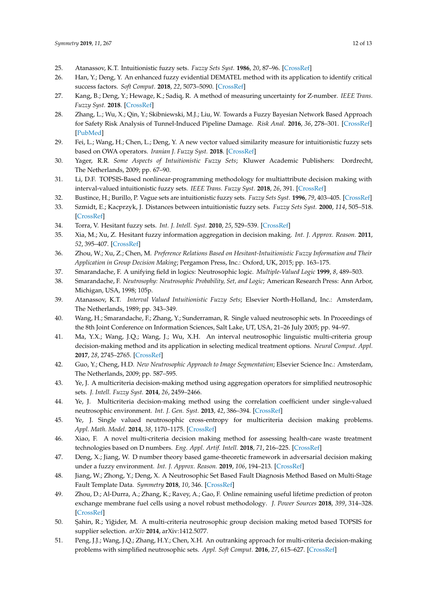- <span id="page-11-0"></span>25. Atanassov, K.T. Intuitionistic fuzzy sets. *Fuzzy Sets Syst.* **1986**, *20*, 87–96. [\[CrossRef\]](http://dx.doi.org/10.1016/S0165-0114(86)80034-3)
- <span id="page-11-1"></span>26. Han, Y.; Deng, Y. An enhanced fuzzy evidential DEMATEL method with its application to identify critical success factors. *Soft Comput.* **2018**, *22*, 5073–5090. [\[CrossRef\]](http://dx.doi.org/10.1007/s00500-018-3311-x)
- 27. Kang, B.; Deng, Y.; Hewage, K.; Sadiq, R. A method of measuring uncertainty for Z-number. *IEEE Trans. Fuzzy Syst.* **2018**. [\[CrossRef\]](http://dx.doi.org/10.1109/TFUZZ.2018.2868496)
- 28. Zhang, L.; Wu, X.; Qin, Y.; Skibniewski, M.J.; Liu, W. Towards a Fuzzy Bayesian Network Based Approach for Safety Risk Analysis of Tunnel-Induced Pipeline Damage. *Risk Anal.* **2016**, *36*, 278–301. [\[CrossRef\]](http://dx.doi.org/10.1111/risa.12448) [\[PubMed\]](http://www.ncbi.nlm.nih.gov/pubmed/26224125)
- <span id="page-11-2"></span>29. Fei, L.; Wang, H.; Chen, L.; Deng, Y. A new vector valued similarity measure for intuitionistic fuzzy sets based on OWA operators. *Iranian J. Fuzzy Syst.* **2018**. [\[CrossRef\]](http://dx.doi.org/10.22111/ijfs.2018.4302)
- <span id="page-11-3"></span>30. Yager, R.R. *Some Aspects of Intuitionistic Fuzzy Sets*; Kluwer Academic Publishers: Dordrecht, The Netherlands, 2009; pp. 67–90.
- 31. Li, D.F. TOPSIS-Based nonlinear-programming methodology for multiattribute decision making with interval-valued intuitionistic fuzzy sets. *IEEE Trans. Fuzzy Syst.* **2018**, *26*, 391. [\[CrossRef\]](http://dx.doi.org/10.1109/TFUZZ.2016.2637375)
- 32. Bustince, H.; Burillo, P. Vague sets are intuitionistic fuzzy sets. *Fuzzy Sets Syst.* **1996**, *79*, 403–405. [\[CrossRef\]](http://dx.doi.org/10.1016/0165-0114(95)00154-9)
- <span id="page-11-4"></span>33. Szmidt, E.; Kacprzyk, J. Distances between intuitionistic fuzzy sets. *Fuzzy Sets Syst.* **2000**, *114*, 505–518. [\[CrossRef\]](http://dx.doi.org/10.1016/S0165-0114(98)00244-9)
- <span id="page-11-6"></span><span id="page-11-5"></span>34. Torra, V. Hesitant fuzzy sets. *Int. J. Intell. Syst.* **2010**, *25*, 529–539. [\[CrossRef\]](http://dx.doi.org/10.1002/int.20418)
- 35. Xia, M.; Xu, Z. Hesitant fuzzy information aggregation in decision making. *Int. J. Approx. Reason.* **2011**, *52*, 395–407. [\[CrossRef\]](http://dx.doi.org/10.1016/j.ijar.2010.09.002)
- <span id="page-11-7"></span>36. Zhou, W.; Xu, Z.; Chen, M. *Preference Relations Based on Hesitant-Intuitionistic Fuzzy Information and Their Application in Group Decision Making*; Pergamon Press, Inc.: Oxford, UK, 2015; pp. 163–175.
- <span id="page-11-8"></span>37. Smarandache, F. A unifying field in logics: Neutrosophic logic. *Multiple-Valued Logic* **1999**, *8*, 489–503.
- <span id="page-11-9"></span>38. Smarandache, F. *Neutrosophy: Neutrosophic Probability, Set, and Logic*; American Research Press: Ann Arbor, Michigan, USA, 1998; 105p.
- <span id="page-11-10"></span>39. Atanassov, K.T. *Interval Valued Intuitionistic Fuzzy Sets*; Elsevier North-Holland, Inc.: Amsterdam, The Netherlands, 1989; pp. 343–349.
- <span id="page-11-11"></span>40. Wang, H.; Smarandache, F.; Zhang, Y.; Sunderraman, R. Single valued neutrosophic sets. In Proceedings of the 8th Joint Conference on Information Sciences, Salt Lake, UT, USA, 21–26 July 2005; pp. 94–97.
- <span id="page-11-12"></span>41. Ma, Y.X.; Wang, J.Q.; Wang, J.; Wu, X.H. An interval neutrosophic linguistic multi-criteria group decision-making method and its application in selecting medical treatment options. *Neural Comput. Appl.* **2017**, *28*, 2745–2765. [\[CrossRef\]](http://dx.doi.org/10.1007/s00521-016-2203-1)
- <span id="page-11-13"></span>42. Guo, Y.; Cheng, H.D. *New Neutrosophic Approach to Image Segmentation*; Elsevier Science Inc.: Amsterdam, The Netherlands, 2009; pp. 587–595.
- <span id="page-11-14"></span>43. Ye, J. A multicriteria decision-making method using aggregation operators for simplified neutrosophic sets. *J. Intell. Fuzzy Syst.* **2014**, *26*, 2459–2466.
- <span id="page-11-20"></span>44. Ye, J. Multicriteria decision-making method using the correlation coefficient under single-valued neutrosophic environment. *Int. J. Gen. Syst.* **2013**, *42*, 386–394. [\[CrossRef\]](http://dx.doi.org/10.1080/03081079.2012.761609)
- <span id="page-11-21"></span>45. Ye, J. Single valued neutrosophic cross-entropy for multicriteria decision making problems. *Appl. Math. Model.* **2014**, *38*, 1170–1175. [\[CrossRef\]](http://dx.doi.org/10.1016/j.apm.2013.07.020)
- 46. Xiao, F. A novel multi-criteria decision making method for assessing health-care waste treatment technologies based on D numbers. *Eng. Appl. Artif. Intell.* **2018**, *71*, 216–225. [\[CrossRef\]](http://dx.doi.org/10.1016/j.engappai.2018.03.002)
- <span id="page-11-15"></span>47. Deng, X.; Jiang, W. D number theory based game-theoretic framework in adversarial decision making under a fuzzy environment. *Int. J. Approx. Reason.* **2019**, *106*, 194–213. [\[CrossRef\]](http://dx.doi.org/10.1016/j.ijar.2019.01.007)
- <span id="page-11-16"></span>48. Jiang, W.; Zhong, Y.; Deng, X. A Neutrosophic Set Based Fault Diagnosis Method Based on Multi-Stage Fault Template Data. *Symmetry* **2018**, *10*, 346. [\[CrossRef\]](http://dx.doi.org/10.3390/sym10080346)
- <span id="page-11-17"></span>49. Zhou, D.; Al-Durra, A.; Zhang, K.; Ravey, A.; Gao, F. Online remaining useful lifetime prediction of proton exchange membrane fuel cells using a novel robust methodology. *J. Power Sources* **2018**, *399*, 314–328. [\[CrossRef\]](http://dx.doi.org/10.1016/j.jpowsour.2018.06.098)
- <span id="page-11-18"></span>50. Şahin, R.; Yiğider, M. A multi-criteria neutrosophic group decision making metod based TOPSIS for supplier selection. *arXiv* **2014**, arXiv:1412.5077.
- <span id="page-11-19"></span>51. Peng, J.J.; Wang, J.Q.; Zhang, H.Y.; Chen, X.H. An outranking approach for multi-criteria decision-making problems with simplified neutrosophic sets. *Appl. Soft Comput.* **2016**, *27*, 615–627. [\[CrossRef\]](http://dx.doi.org/10.1016/j.asoc.2014.08.070)